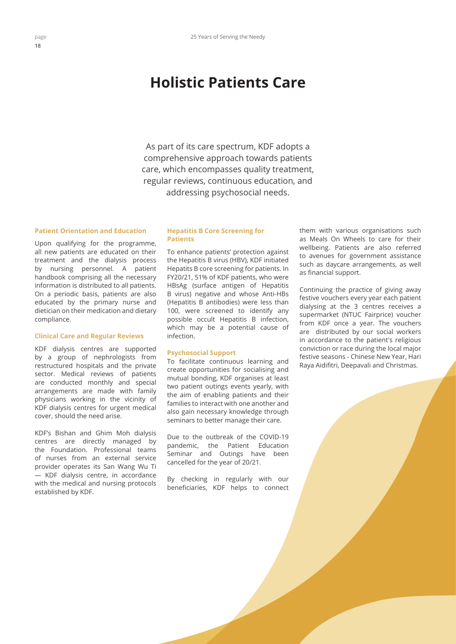# **Holistic Patients Care**

As part of its care spectrum, KDF adopts a comprehensive approach towards patients care, which encompasses quality treatment, regular reviews, continuous education, and addressing psychosocial needs.

## **Patient Orientation and Education**

Upon qualifying for the programme, all new patients are educated on their treatment and the dialysis process by nursing personnel. A patient handbook comprising all the necessary information is distributed to all patients. On a periodic basis, patients are also educated by the primary nurse and dietician on their medication and dietary compliance.

#### **Clinical Care and Regular Reviews**

KDF dialysis centres are supported by a group of nephrologists from restructured hospitals and the private sector. Medical reviews of patients are conducted monthly and special arrangements are made with family physicians working in the vicinity of KDF dialysis centres for urgent medical cover, should the need arise.

KDF's Bishan and Ghim Moh dialysis centres are directly managed by the Foundation. Professional teams of nurses from an external service provider operates its San Wang Wu Ti — KDF dialysis centre, in accordance with the medical and nursing protocols established by KDF.

### **Hepatitis B Core Screening for Patients**

To enhance patients' protection against the Hepatitis B virus (HBV), KDF initiated Hepatits B core screening for patients. In FY20/21, 51% of KDF patients, who were HBsAg (surface antigen of Hepatitis B virus) negative and whose Anti-HBs (Hepatitis B antibodies) were less than 100, were screened to identify any possible occult Hepatitis B infection, which may be a potential cause of infection.

#### **Psychosocial Support**

To facilitate continuous learning and create opportunities for socialising and mutual bonding, KDF organises at least two patient outings events yearly, with the aim of enabling patients and their families to interact with one another and also gain necessary knowledge through seminars to better manage their care.

Due to the outbreak of the COVID-19 pandemic, the Patient Education Seminar and Outings have been cancelled for the year of 20/21.

By checking in regularly with our beneficiaries, KDF helps to connect them with various organisations such as Meals On Wheels to care for their wellbeing. Patients are also referred to avenues for government assistance such as daycare arrangements, as well as financial support.

Continuing the practice of giving away festive vouchers every year each patient dialysing at the 3 centres receives a supermarket (NTUC Fairprice) voucher from KDF once a year. The vouchers are distributed by our social workers in accordance to the patient's religious conviction or race during the local major festive seasons - Chinese New Year, Hari Raya Aidifitri, Deepavali and Christmas.